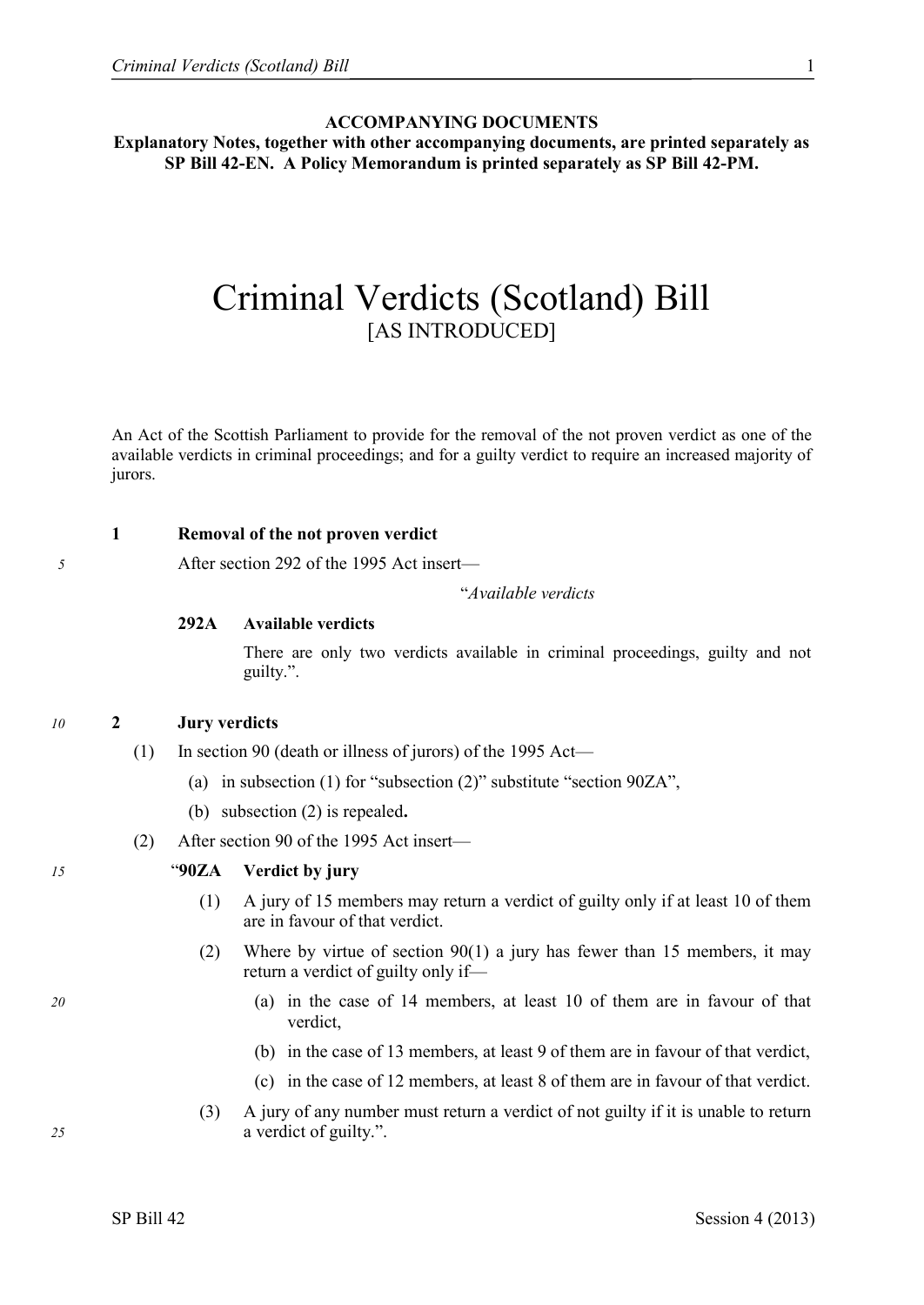### **ACCOMPANYING DOCUMENTS**

**Explanatory Notes, together with other accompanying documents, are printed separately as SP Bill 42-EN. A Policy Memorandum is printed separately as SP Bill 42-PM.**

# Criminal Verdicts (Scotland) Bill [AS INTRODUCED]

An Act of the Scottish Parliament to provide for the removal of the not proven verdict as one of the available verdicts in criminal proceedings; and for a guilty verdict to require an increased majority of jurors.

# **1 Removal of the not proven verdict**

*5* After section 292 of the 1995 Act insert—

"*Available verdicts*

### **292A Available verdicts**

There are only two verdicts available in criminal proceedings, guilty and not guilty.".

### *10* **2 Jury verdicts**

- (1) In section 90 (death or illness of jurors) of the 1995 Act—
	- (a) in subsection (1) for "subsection (2)" substitute "section 90ZA",
	- (b) subsection (2) is repealed**.**
- (2) After section 90 of the 1995 Act insert—

### *15* "**90ZA Verdict by jury**

- (1) A jury of 15 members may return a verdict of guilty only if at least 10 of them are in favour of that verdict.
- (2) Where by virtue of section 90(1) a jury has fewer than 15 members, it may return a verdict of guilty only if—
- *20* (a) in the case of 14 members, at least 10 of them are in favour of that verdict,
	- (b) in the case of 13 members, at least 9 of them are in favour of that verdict,
	- (c) in the case of 12 members, at least 8 of them are in favour of that verdict.
- (3) A jury of any number must return a verdict of not guilty if it is unable to return *25* a verdict of guilty.".

SP Bill 42 Session 4 (2013)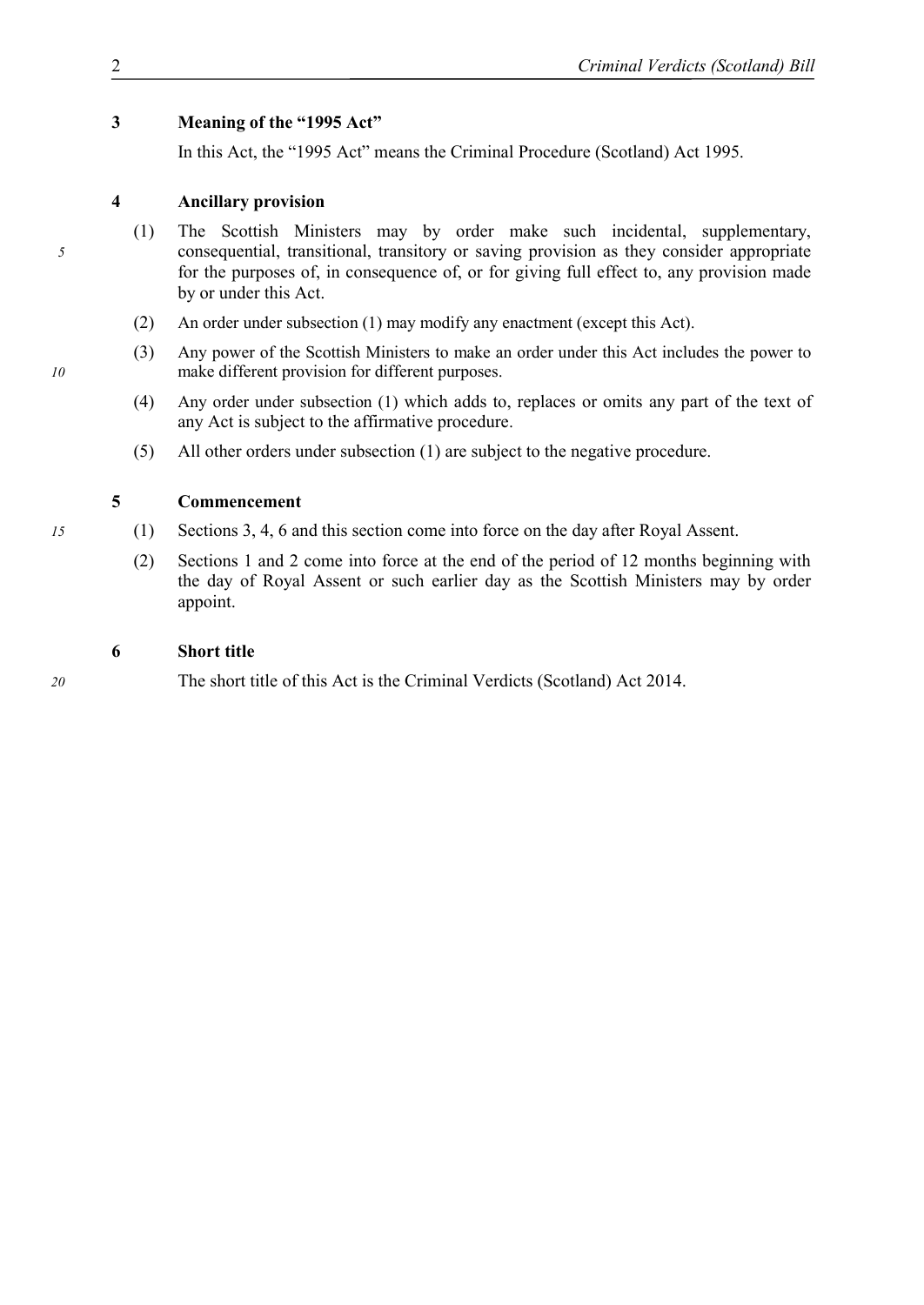### **3 Meaning of the "1995 Act"**

In this Act, the "1995 Act" means the Criminal Procedure (Scotland) Act 1995.

# **4 Ancillary provision**

- (1) The Scottish Ministers may by order make such incidental, supplementary, *5* consequential, transitional, transitory or saving provision as they consider appropriate for the purposes of, in consequence of, or for giving full effect to, any provision made by or under this Act.
	- (2) An order under subsection (1) may modify any enactment (except this Act).
- (3) Any power of the Scottish Ministers to make an order under this Act includes the power to *10* make different provision for different purposes.
	- (4) Any order under subsection (1) which adds to, replaces or omits any part of the text of any Act is subject to the affirmative procedure.
	- (5) All other orders under subsection (1) are subject to the negative procedure.

# **5 Commencement**

- *15* (1) Sections 3, 4, 6 and this section come into force on the day after Royal Assent.
	- (2) Sections 1 and 2 come into force at the end of the period of 12 months beginning with the day of Royal Assent or such earlier day as the Scottish Ministers may by order appoint.

# **6 Short title**

*20* The short title of this Act is the Criminal Verdicts (Scotland) Act 2014.